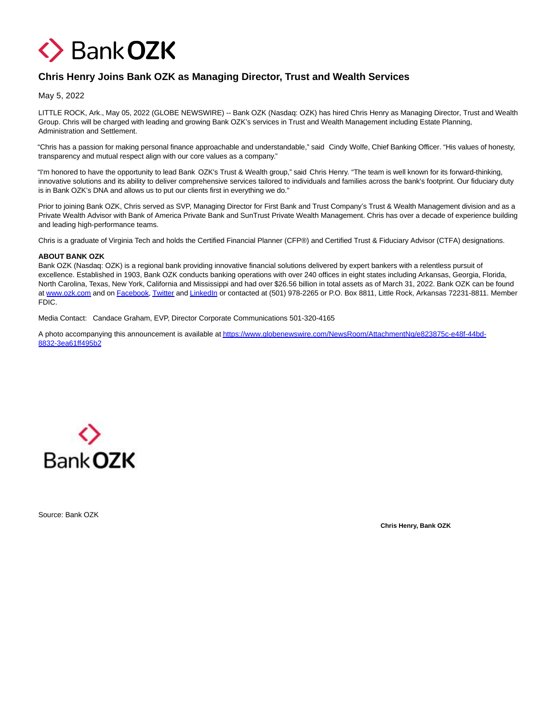

## **Chris Henry Joins Bank OZK as Managing Director, Trust and Wealth Services**

May 5, 2022

LITTLE ROCK, Ark., May 05, 2022 (GLOBE NEWSWIRE) -- Bank OZK (Nasdaq: OZK) has hired Chris Henry as Managing Director, Trust and Wealth Group. Chris will be charged with leading and growing Bank OZK's services in Trust and Wealth Management including Estate Planning, Administration and Settlement.

"Chris has a passion for making personal finance approachable and understandable," said Cindy Wolfe, Chief Banking Officer. "His values of honesty, transparency and mutual respect align with our core values as a company."

"I'm honored to have the opportunity to lead Bank OZK's Trust & Wealth group," said Chris Henry. "The team is well known for its forward-thinking, innovative solutions and its ability to deliver comprehensive services tailored to individuals and families across the bank's footprint. Our fiduciary duty is in Bank OZK's DNA and allows us to put our clients first in everything we do."

Prior to joining Bank OZK, Chris served as SVP, Managing Director for First Bank and Trust Company's Trust & Wealth Management division and as a Private Wealth Advisor with Bank of America Private Bank and SunTrust Private Wealth Management. Chris has over a decade of experience building and leading high-performance teams.

Chris is a graduate of Virginia Tech and holds the Certified Financial Planner (CFP®) and Certified Trust & Fiduciary Advisor (CTFA) designations.

## **ABOUT BANK OZK**

Bank OZK (Nasdaq: OZK) is a regional bank providing innovative financial solutions delivered by expert bankers with a relentless pursuit of excellence. Established in 1903, Bank OZK conducts banking operations with over 240 offices in eight states including Arkansas, Georgia, Florida, North Carolina, Texas, New York, California and Mississippi and had over \$26.56 billion in total assets as of March 31, 2022. Bank OZK can be found at [www.ozk.com a](https://www.globenewswire.com/Tracker?data=WpaRepsFuXZYRNH9lyUzjGRi6pCSxzX-jdTnG8TcxNH4StEe01rld7TsVHMZB9oGFcQ24LnNUZAPNde7ZhzYhw==)nd on [Facebook,](https://www.globenewswire.com/Tracker?data=BdiT-VCKiEWUdARgwuU90geyPwdr9E6k7gd236EbFk-D2lrevySdpAAGEjHm7Z_1g5Lv9QO7DDReM1iGh_4q7w==) [Twitter a](https://www.globenewswire.com/Tracker?data=0fagz_NuaCkfgBSOIklPXUFVzH3mFFEzO_aSfR-WlReVruJM5SbRaGsZSkUM-n0FV1qZKsBqGbE6fTgcM0LnrA==)n[d LinkedIn o](https://www.globenewswire.com/Tracker?data=KZTY9TESqiUuIQ_RU4YJCOjazarYEYBNPAdZSiWRDPWgJ_2vyZTuVAqqaeXzF6yATueLhzJT1osQHp7t_c54QMItlEpMV9kTxyrk-t7Be-Y=)r contacted at (501) 978-2265 or P.O. Box 8811, Little Rock, Arkansas 72231-8811. Member FDIC.

Media Contact: Candace Graham, EVP, Director Corporate Communications 501-320-4165

A photo accompanying this announcement is available a[t https://www.globenewswire.com/NewsRoom/AttachmentNg/e823875c-e48f-44bd-](https://www.globenewswire.com/Tracker?data=p4gRwMSlKRpCnEgDh5ASgdzsovfwqHo-iILlPHgJjtGShGnpXnCpWZkhguWeDYxKEreDJBa50r1iGkIp_PSMnkpwPONRAqni2d7TvQ1XBVoDVXNbNNmvPDjH8a5Foqc_BmL_R-wX3QtUAKB-3wapNYC1yXnsC9tq_luWinjMSkMCz-uj10xjNe29N5aZre-8tP4nLMcbf2F3LQUc0aM2hE4MMZlFcXmq22yqSpcz3rp0lproW5Ufp1Odmap1XV2gnigXzBQg3mgYX8QN0ak0Xw==)8832-3ea61ff495b2



Source: Bank OZK

**Chris Henry, Bank OZK**